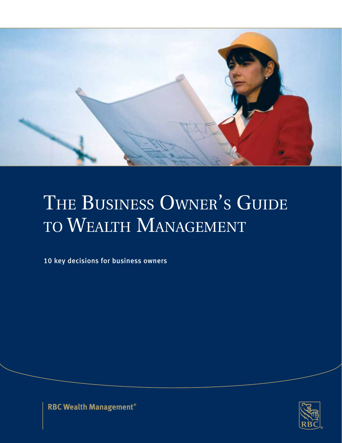

# THE BUSINESS OWNER'S GUIDE to Wealth Management

10 key decisions for business owners



**RBC Wealth Management®**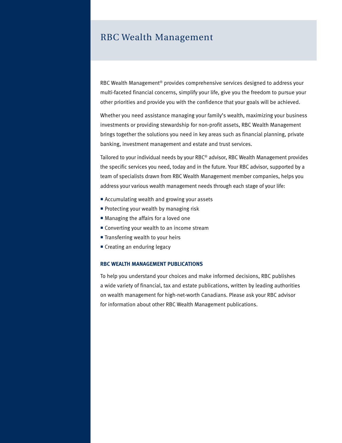### RBC Wealth Management

RBC Wealth Management® provides comprehensive services designed to address your multi-faceted financial concerns, simplify your life, give you the freedom to pursue your other priorities and provide you with the confidence that your goals will be achieved.

Whether you need assistance managing your family's wealth, maximizing your business investments or providing stewardship for non-profit assets, RBC Wealth Management brings together the solutions you need in key areas such as financial planning, private banking, investment management and estate and trust services.

Tailored to your individual needs by your RBC® advisor, RBC Wealth Management provides the specific services you need, today and in the future. Your RBC advisor, supported by a team of specialists drawn from RBC Wealth Management member companies, helps you address your various wealth management needs through each stage of your life:

- Accumulating wealth and growing your assets
- Protecting your wealth by managing risk
- Managing the affairs for a loved one
- Converting your wealth to an income stream
- Transferring wealth to your heirs
- Creating an enduring legacy

#### **RBC Wealth Management Publications**

To help you understand your choices and make informed decisions, RBC publishes a wide variety of financial, tax and estate publications, written by leading authorities on wealth management for high-net-worth Canadians. Please ask your RBC advisor for information about other RBC Wealth Management publications.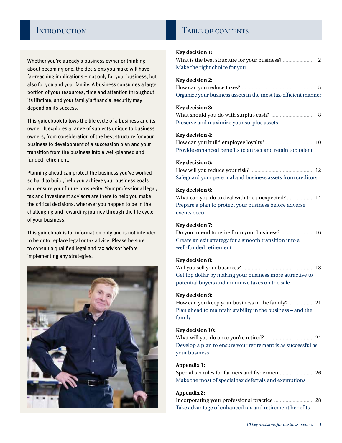Whether you're already a business owner or thinking about becoming one, the decisions you make will have far-reaching implications – not only for your business, but also for you and your family. A business consumes a large portion of your resources, time and attention throughout its lifetime, and your family's financial security may depend on its success.

This guidebook follows the life cycle of a business and its owner. It explores a range of subjects unique to business owners, from consideration of the best structure for your business to development of a succession plan and your transition from the business into a well-planned and funded retirement.

Planning ahead can protect the business you've worked so hard to build, help you achieve your business goals and ensure your future prosperity. Your professional legal, tax and investment advisors are there to help you make the critical decisions, wherever you happen to be in the challenging and rewarding journey through the life cycle of your business.

This guidebook is for information only and is not intended to be or to replace legal or tax advice. Please be sure to consult a qualified legal and tax advisor before implementing any strategies.



#### INTRODUCTION **TABLE OF CONTENTS**

#### **Key decision 1:**

| Make the right choice for you |  |  |  |  |
|-------------------------------|--|--|--|--|

#### **Key decision 2:**

| Organize your business assets in the most tax-efficient manner |  |
|----------------------------------------------------------------|--|

#### **Key decision 3:**

| Preserve and maximize your surplus assets |  |
|-------------------------------------------|--|

#### **Key decision 4:**

| - 10                                                       |  |  |  |
|------------------------------------------------------------|--|--|--|
| Provide enhanced benefits to attract and retain top talent |  |  |  |

#### **Key decision 5:**

| Safeguard your personal and business assets from creditors |  |
|------------------------------------------------------------|--|

#### **Key decision 6:**

What can you do to deal with the unexpected? .................. 14 Prepare a plan to protect your business before adverse events occur

#### **Key decision 7:**

Do you intend to retire from your business? ...................... 16 Create an exit strategy for a smooth transition into a well-funded retirement

#### **Key decision 8:**

Will you sell your business? ................................................. 18 Get top dollar by making your business more attractive to potential buyers and minimize taxes on the sale

#### **Key decision 9:**

How can you keep your business in the family? ................. 21 Plan ahead to maintain stability in the business – and the family

#### **Key decision 10:**

What will you do once you're retired? ................................. 24 Develop a plan to ensure your retirement is as successful as your business

#### **Appendix 1:**

| Make the most of special tax deferrals and exemptions |  |
|-------------------------------------------------------|--|

#### **Appendix 2:**

Incorporating your professional practice ........................... 28 Take advantage of enhanced tax and retirement benefits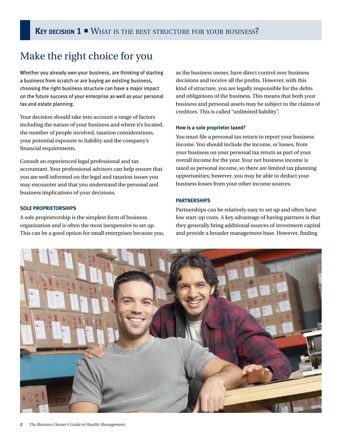# Make the right choice for you

Whether you already own your business, are thinking of starting a business from scratch or are buying an existing business, choosing the right business structure can have a major impact on the future success of your enterprise as well as your personal tax and estate planning.

Your decision should take into account a range of factors including the nature of your business and where it's located, the number of people involved, taxation considerations, your potential exposure to liability and the company's financial requirements.

Consult an experienced legal professional and tax accountant. Your professional advisors can help ensure that you are well informed on the legal and taxation issues you may encounter and that you understand the personal and business implications of your decisions.

#### **Sole proprietorships**

A sole proprietorship is the simplest form of business organization and is often the most inexpensive to set up. This can be a good option for small enterprises because you, as the business owner, have direct control over business decisions and receive all the profits. However, with this kind of structure, you are legally responsible for the debts and obligations of the business. This means that both your business and personal assets may be subject to the claims of creditors. This is called "unlimited liability".

#### **How is a sole proprietor taxed?**

You must file a personal tax return to report your business income. You should include the income, or losses, from your business on your personal tax return as part of your overall income for the year. Your net business income is taxed as personal income, so there are limited tax planning opportunities; however, you may be able to deduct your business losses from your other income sources.

#### **Partnerships**

Partnerships can be relatively easy to set up and often have low start-up costs. A key advantage of having partners is that they generally bring additional sources of investment capital and provide a broader management base. However, finding

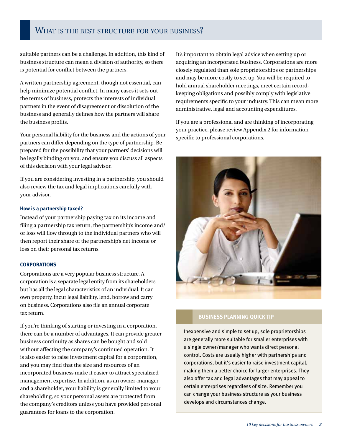### WHAT IS THE BEST STRUCTURE FOR YOUR BUSINESS?

suitable partners can be a challenge. In addition, this kind of business structure can mean a division of authority, so there is potential for conflict between the partners.

A written partnership agreement, though not essential, can help minimize potential conflict. In many cases it sets out the terms of business, protects the interests of individual partners in the event of disagreement or dissolution of the business and generally defines how the partners will share the business profits.

Your personal liability for the business and the actions of your partners can differ depending on the type of partnership. Be prepared for the possibility that your partners' decisions will be legally binding on you, and ensure you discuss all aspects of this decision with your legal advisor.

If you are considering investing in a partnership, you should also review the tax and legal implications carefully with your advisor.

#### **How is a partnership taxed?**

Instead of your partnership paying tax on its income and filing a partnership tax return, the partnership's income and/ or loss will flow through to the individual partners who will then report their share of the partnership's net income or loss on their personal tax returns.

#### **Corporations**

Corporations are a very popular business structure. A corporation is a separate legal entity from its shareholders but has all the legal characteristics of an individual. It can own property, incur legal liability, lend, borrow and carry on business. Corporations also file an annual corporate tax return.

If you're thinking of starting or investing in a corporation, there can be a number of advantages. It can provide greater business continuity as shares can be bought and sold without affecting the company's continued operation. It is also easier to raise investment capital for a corporation, and you may find that the size and resources of an incorporated business make it easier to attract specialized management expertise. In addition, as an owner-manager and a shareholder, your liability is generally limited to your shareholding, so your personal assets are protected from the company's creditors unless you have provided personal guarantees for loans to the corporation.

It's important to obtain legal advice when setting up or acquiring an incorporated business. Corporations are more closely regulated than sole proprietorships or partnerships and may be more costly to set up. You will be required to hold annual shareholder meetings, meet certain recordkeeping obligations and possibly comply with legislative requirements specific to your industry. This can mean more administrative, legal and accounting expenditures.

If you are a professional and are thinking of incorporating your practice, please review Appendix 2 for information specific to professional corporations.



#### **Business planning quick tip**

Inexpensive and simple to set up, sole proprietorships are generally more suitable for smaller enterprises with a single owner/manager who wants direct personal control. Costs are usually higher with partnerships and corporations, but it's easier to raise investment capital, making them a better choice for larger enterprises. They also offer tax and legal advantages that may appeal to certain enterprises regardless of size. Remember you can change your business structure as your business develops and circumstances change.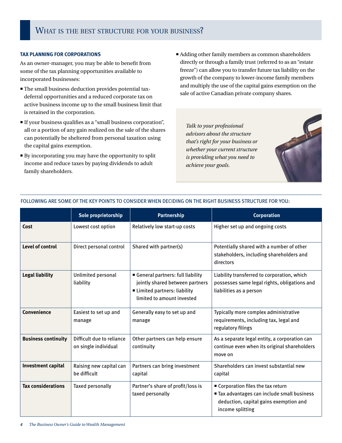#### **Tax planning for corporations**

As an owner-manager, you may be able to benefit from some of the tax planning opportunities available to incorporated businesses:

- The small business deduction provides potential taxdeferral opportunities and a reduced corporate tax on active business income up to the small business limit that is retained in the corporation.
- If your business qualifies as a "small business corporation", all or a portion of any gain realized on the sale of the shares can potentially be sheltered from personal taxation using the capital gains exemption.
- By incorporating you may have the opportunity to split income and reduce taxes by paying dividends to adult family shareholders.

 Adding other family members as common shareholders directly or through a family trust (referred to as an "estate freeze") can allow you to transfer future tax liability on the growth of the company to lower-income family members and multiply the use of the capital gains exemption on the sale of active Canadian private company shares.

*Talk to your professional advisors about the structure that's right for your business or whether your current structure is providing what you need to achieve your goals.*



|                            | Sole proprietorship                               | Partnership                                                                                                                      | <b>Corporation</b>                                                                                                                              |
|----------------------------|---------------------------------------------------|----------------------------------------------------------------------------------------------------------------------------------|-------------------------------------------------------------------------------------------------------------------------------------------------|
| Cost                       | Lowest cost option                                | Relatively low start-up costs                                                                                                    | Higher set up and ongoing costs                                                                                                                 |
| <b>Level of control</b>    | Direct personal control                           | Shared with partner(s)                                                                                                           | Potentially shared with a number of other<br>stakeholders, including shareholders and<br>directors                                              |
| <b>Legal liability</b>     | Unlimited personal<br>liability                   | General partners: full liability<br>jointly shared between partners<br>Limited partners: liability<br>limited to amount invested | Liability transferred to corporation, which<br>possesses same legal rights, obligations and<br>liabilities as a person                          |
| Convenience                | Easiest to set up and<br>manage                   | Generally easy to set up and<br>manage                                                                                           | Typically more complex administrative<br>requirements, including tax, legal and<br>regulatory filings                                           |
| <b>Business continuity</b> | Difficult due to reliance<br>on single individual | Other partners can help ensure<br>continuity                                                                                     | As a separate legal entity, a corporation can<br>continue even when its original shareholders<br>move on                                        |
| <b>Investment capital</b>  | Raising new capital can<br>be difficult           | Partners can bring investment<br>capital                                                                                         | Shareholders can invest substantial new<br>capital                                                                                              |
| <b>Tax considerations</b>  | <b>Taxed personally</b>                           | Partner's share of profit/loss is<br>taxed personally                                                                            | ■ Corporation files the tax return<br>■ Tax advantages can include small business<br>deduction, capital gains exemption and<br>income splitting |

#### Following are some of the key points to consider when deciding on the right business structure for you: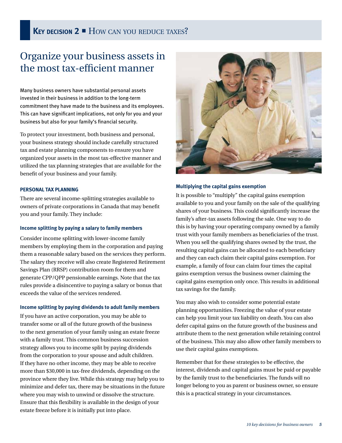# **KEY DECISION 2 ■ HOW CAN YOU REDUCE TAXES?**

# Organize your business assets in the most tax-efficient manner

Many business owners have substantial personal assets invested in their business in addition to the long-term commitment they have made to the business and its employees. This can have significant implications, not only for you and your business but also for your family's financial security.

To protect your investment, both business and personal, your business strategy should include carefully structured tax and estate planning components to ensure you have organized your assets in the most tax-effective manner and utilized the tax planning strategies that are available for the benefit of your business and your family.

#### **Personal tax planning**

There are several income-splitting strategies available to owners of private corporations in Canada that may benefit you and your family. They include:

#### **Income splitting by paying a salary to family members**

Consider income splitting with lower-income family members by employing them in the corporation and paying them a reasonable salary based on the services they perform. The salary they receive will also create Registered Retirement Savings Plan (RRSP) contribution room for them and generate CPP/QPP pensionable earnings. Note that the tax rules provide a disincentive to paying a salary or bonus that exceeds the value of the services rendered.

#### **Income splitting by paying dividends to adult family members**

If you have an active corporation, you may be able to transfer some or all of the future growth of the business to the next generation of your family using an estate freeze with a family trust. This common business succession strategy allows you to income split by paying dividends from the corporation to your spouse and adult children. If they have no other income, they may be able to receive more than \$30,000 in tax-free dividends, depending on the province where they live. While this strategy may help you to minimize and defer tax, there may be situations in the future where you may wish to unwind or dissolve the structure. Ensure that this flexibility is available in the design of your estate freeze before it is initially put into place.



#### **Multiplying the capital gains exemption**

It is possible to "multiply" the capital gains exemption available to you and your family on the sale of the qualifying shares of your business. This could significantly increase the family's after-tax assets following the sale. One way to do this is by having your operating company owned by a family trust with your family members as beneficiaries of the trust. When you sell the qualifying shares owned by the trust, the resulting capital gains can be allocated to each beneficiary and they can each claim their capital gains exemption. For example, a family of four can claim four times the capital gains exemption versus the business owner claiming the capital gains exemption only once. This results in additional tax savings for the family.

You may also wish to consider some potential estate planning opportunities. Freezing the value of your estate can help you limit your tax liability on death. You can also defer capital gains on the future growth of the business and attribute them to the next generation while retaining control of the business. This may also allow other family members to use their capital gains exemptions.

Remember that for these strategies to be effective, the interest, dividends and capital gains must be paid or payable by the family trust to the beneficiaries. The funds will no longer belong to you as parent or business owner, so ensure this is a practical strategy in your circumstances.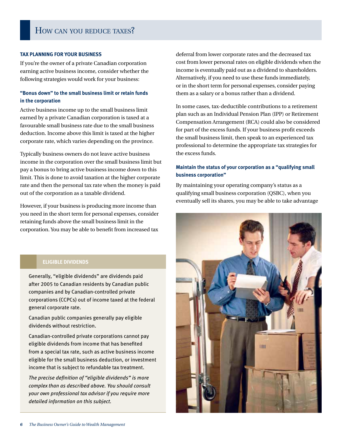#### **Tax planning for your business**

If you're the owner of a private Canadian corporation earning active business income, consider whether the following strategies would work for your business:

#### **"Bonus down" to the small business limit or retain funds in the corporation**

Active business income up to the small business limit earned by a private Canadian corporation is taxed at a favourable small business rate due to the small business deduction. Income above this limit is taxed at the higher corporate rate, which varies depending on the province.

Typically business owners do not leave active business income in the corporation over the small business limit but pay a bonus to bring active business income down to this limit. This is done to avoid taxation at the higher corporate rate and then the personal tax rate when the money is paid out of the corporation as a taxable dividend.

However, if your business is producing more income than you need in the short term for personal expenses, consider retaining funds above the small business limit in the corporation. You may be able to benefit from increased tax

#### **eligible dividends**

Generally, "eligible dividends" are dividends paid after 2005 to Canadian residents by Canadian public companies and by Canadian-controlled private corporations (CCPCs) out of income taxed at the federal general corporate rate.

Canadian public companies generally pay eligible dividends without restriction.

Canadian-controlled private corporations cannot pay eligible dividends from income that has benefited from a special tax rate, such as active business income eligible for the small business deduction, or investment income that is subject to refundable tax treatment.

*The precise definition of "eligible dividends" is more complex than as described above. You should consult your own professional tax advisor if you require more detailed information on this subject.*

deferral from lower corporate rates and the decreased tax cost from lower personal rates on eligible dividends when the income is eventually paid out as a dividend to shareholders. Alternatively, if you need to use these funds immediately, or in the short term for personal expenses, consider paying them as a salary or a bonus rather than a dividend.

In some cases, tax-deductible contributions to a retirement plan such as an Individual Pension Plan (IPP) or Retirement Compensation Arrangement (RCA) could also be considered for part of the excess funds. If your business profit exceeds the small business limit, then speak to an experienced tax professional to determine the appropriate tax strategies for the excess funds.

#### **Maintain the status of your corporation as a "qualifying small business corporation"**

By maintaining your operating company's status as a qualifying small business corporation (QSBC), when you eventually sell its shares, you may be able to take advantage

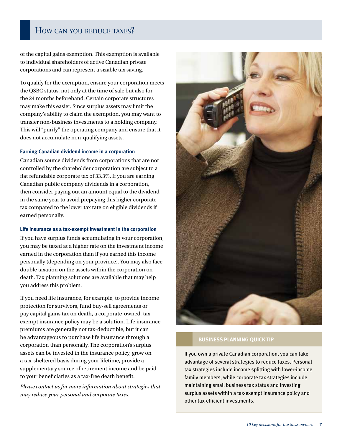### How can you reduce taxes?

of the capital gains exemption. This exemption is available to individual shareholders of active Canadian private corporations and can represent a sizable tax saving.

To qualify for the exemption, ensure your corporation meets the QSBC status, not only at the time of sale but also for the 24 months beforehand. Certain corporate structures may make this easier. Since surplus assets may limit the company's ability to claim the exemption, you may want to transfer non-business investments to a holding company. This will "purify" the operating company and ensure that it does not accumulate non-qualifying assets.

#### **Earning Canadian dividend income in a corporation**

Canadian source dividends from corporations that are not controlled by the shareholder corporation are subject to a flat refundable corporate tax of 33.3%. If you are earning Canadian public company dividends in a corporation, then consider paying out an amount equal to the dividend in the same year to avoid prepaying this higher corporate tax compared to the lower tax rate on eligible dividends if earned personally.

#### **Life insurance as a tax-exempt investment in the corporation**

If you have surplus funds accumulating in your corporation, you may be taxed at a higher rate on the investment income earned in the corporation than if you earned this income personally (depending on your province). You may also face double taxation on the assets within the corporation on death. Tax planning solutions are available that may help you address this problem.

If you need life insurance, for example, to provide income protection for survivors, fund buy-sell agreements or pay capital gains tax on death, a corporate-owned, taxexempt insurance policy may be a solution. Life insurance premiums are generally not tax-deductible, but it can be advantageous to purchase life insurance through a corporation than personally. The corporation's surplus assets can be invested in the insurance policy, grow on a tax-sheltered basis during your lifetime, provide a supplementary source of retirement income and be paid to your beneficiaries as a tax-free death benefit.

*Please contact us for more information about strategies that may reduce your personal and corporate taxes.*



#### **Business planning quick tip**

If you own a private Canadian corporation, you can take advantage of several strategies to reduce taxes. Personal tax strategies include income splitting with lower-income family members, while corporate tax strategies include maintaining small business tax status and investing surplus assets within a tax-exempt insurance policy and other tax-efficient investments.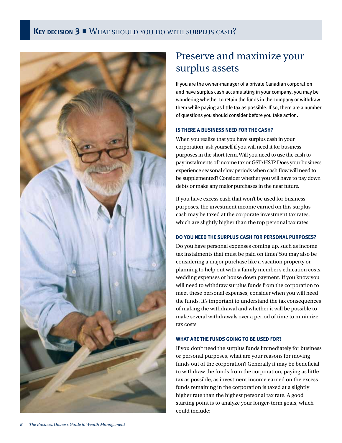

# Preserve and maximize your surplus assets

If you are the owner-manager of a private Canadian corporation and have surplus cash accumulating in your company, you may be wondering whether to retain the funds in the company or withdraw them while paying as little tax as possible. If so, there are a number of questions you should consider before you take action.

#### **Is there a business need for the cash?**

When you realize that you have surplus cash in your corporation, ask yourself if you will need it for business purposes in the short term. Will you need to use the cash to pay instalments of income tax or GST/HST? Does your business experience seasonal slow periods when cash flow will need to be supplemented? Consider whether you will have to pay down debts or make any major purchases in the near future.

If you have excess cash that won't be used for business purposes, the investment income earned on this surplus cash may be taxed at the corporate investment tax rates, which are slightly higher than the top personal tax rates.

#### **Do you need the surplus cash for personal purposes?**

Do you have personal expenses coming up, such as income tax instalments that must be paid on time? You may also be considering a major purchase like a vacation property or planning to help out with a family member's education costs, wedding expenses or house down payment. If you know you will need to withdraw surplus funds from the corporation to meet these personal expenses, consider when you will need the funds. It's important to understand the tax consequences of making the withdrawal and whether it will be possible to make several withdrawals over a period of time to minimize tax costs.

#### **What are the funds going to be used for?**

If you don't need the surplus funds immediately for business or personal purposes, what are your reasons for moving funds out of the corporation? Generally it may be beneficial to withdraw the funds from the corporation, paying as little tax as possible, as investment income earned on the excess funds remaining in the corporation is taxed at a slightly higher rate than the highest personal tax rate. A good starting point is to analyze your longer-term goals, which could include: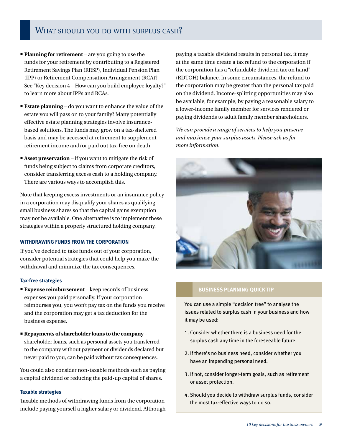### WHAT SHOULD YOU DO WITH SURPLUS CASH?

- **Planning for retirement** are you going to use the funds for your retirement by contributing to a Registered Retirement Savings Plan (RRSP), Individual Pension Plan (IPP) or Retirement Compensation Arrangement (RCA)? See "Key decision 4 – How can you build employee loyalty?" to learn more about IPPs and RCAs.
- **Estate planning** do you want to enhance the value of the estate you will pass on to your family? Many potentially effective estate planning strategies involve insurancebased solutions. The funds may grow on a tax-sheltered basis and may be accessed at retirement to supplement retirement income and/or paid out tax-free on death.
- **Asset preservation** if you want to mitigate the risk of funds being subject to claims from corporate creditors, consider transferring excess cash to a holding company. There are various ways to accomplish this.

Note that keeping excess investments or an insurance policy in a corporation may disqualify your shares as qualifying small business shares so that the capital gains exemption may not be available. One alternative is to implement these strategies within a properly structured holding company.

#### **Withdrawing funds from the corporation**

If you've decided to take funds out of your corporation, consider potential strategies that could help you make the withdrawal and minimize the tax consequences.

#### **Tax-free strategies**

- **Expense reimbursement** keep records of business expenses you paid personally. If your corporation reimburses you, you won't pay tax on the funds you receive and the corporation may get a tax deduction for the business expense.
- **Repayments of shareholder loans to the company**  shareholder loans, such as personal assets you transferred to the company without payment or dividends declared but never paid to you, can be paid without tax consequences.

You could also consider non-taxable methods such as paying a capital dividend or reducing the paid-up capital of shares.

#### **Taxable strategies**

Taxable methods of withdrawing funds from the corporation include paying yourself a higher salary or dividend. Although paying a taxable dividend results in personal tax, it may at the same time create a tax refund to the corporation if the corporation has a "refundable dividend tax on hand" (RDTOH) balance. In some circumstances, the refund to the corporation may be greater than the personal tax paid on the dividend. Income-splitting opportunities may also be available, for example, by paying a reasonable salary to a lower-income family member for services rendered or paying dividends to adult family member shareholders.

*We can provide a range of services to help you preserve and maximize your surplus assets. Please ask us for more information.* 



#### **Business planning quick tip**

You can use a simple "decision tree" to analyse the issues related to surplus cash in your business and how it may be used:

- 1. Consider whether there is a business need for the surplus cash any time in the foreseeable future.
- 2. If there's no business need, consider whether you have an impending personal need.
- 3. If not, consider longer-term goals, such as retirement or asset protection.
- 4. Should you decide to withdraw surplus funds, consider the most tax-effective ways to do so.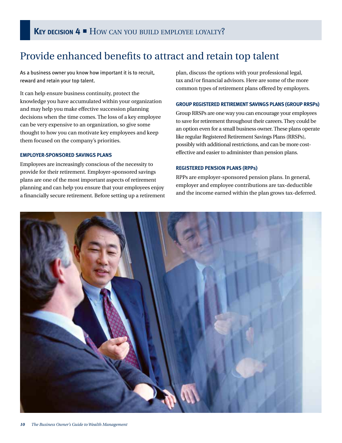# Provide enhanced benefits to attract and retain top talent

As a business owner you know how important it is to recruit, reward and retain your top talent.

It can help ensure business continuity, protect the knowledge you have accumulated within your organization and may help you make effective succession planning decisions when the time comes. The loss of a key employee can be very expensive to an organization, so give some thought to how you can motivate key employees and keep them focused on the company's priorities.

#### **Employer-sponsored savings plans**

Employees are increasingly conscious of the necessity to provide for their retirement. Employer-sponsored savings plans are one of the most important aspects of retirement planning and can help you ensure that your employees enjoy a financially secure retirement. Before setting up a retirement plan, discuss the options with your professional legal, tax and/or financial advisors. Here are some of the more common types of retirement plans offered by employers.

#### **Group REGISTERED RETIREMENT SAVINGS PLANS (Group RRSPs)**

Group RRSPs are one way you can encourage your employees to save for retirement throughout their careers. They could be an option even for a small business owner. These plans operate like regular Registered Retirement Savings Plans (RRSPs), possibly with additional restrictions, and can be more costeffective and easier to administer than pension plans.

#### **Registered Pension Plans (RPPs)**

RPPs are employer-sponsored pension plans. In general, employer and employee contributions are tax-deductible and the income earned within the plan grows tax-deferred.

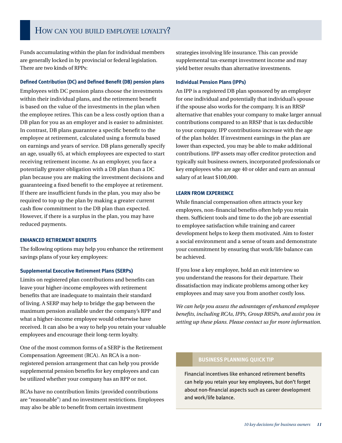Funds accumulating within the plan for individual members are generally locked in by provincial or federal legislation. There are two kinds of RPPs:

#### **Defined Contribution (DC) and Defined Benefit (DB) pension plans**

Employees with DC pension plans choose the investments within their individual plans, and the retirement benefit is based on the value of the investments in the plan when the employee retires. This can be a less costly option than a DB plan for you as an employer and is easier to administer. In contrast, DB plans guarantee a specific benefit to the employee at retirement, calculated using a formula based on earnings and years of service. DB plans generally specify an age, usually 65, at which employees are expected to start receiving retirement income. As an employer, you face a potentially greater obligation with a DB plan than a DC plan because you are making the investment decisions and guaranteeing a fixed benefit to the employee at retirement. If there are insufficient funds in the plan, you may also be required to top up the plan by making a greater current cash flow commitment to the DB plan than expected. However, if there is a surplus in the plan, you may have reduced payments.

#### **Enhanced retirement benefits**

The following options may help you enhance the retirement savings plans of your key employees:

#### **Supplemental Executive Retirement Plans (SERPs)**

Limits on registered plan contributions and benefits can leave your higher-income employees with retirement benefits that are inadequate to maintain their standard of living. A SERP may help to bridge the gap between the maximum pension available under the company's RPP and what a higher-income employee would otherwise have received. It can also be a way to help you retain your valuable employees and encourage their long-term loyalty.

One of the most common forms of a SERP is the Retirement Compensation Agreement (RCA). An RCA is a nonregistered pension arrangement that can help you provide supplemental pension benefits for key employees and can be utilized whether your company has an RPP or not.

RCAs have no contribution limits (provided contributions are "reasonable") and no investment restrictions. Employees may also be able to benefit from certain investment

strategies involving life insurance. This can provide supplemental tax-exempt investment income and may yield better results than alternative investments.

#### **Individual Pension Plans (IPPs)**

An IPP is a registered DB plan sponsored by an employer for one individual and potentially that individual's spouse if the spouse also works for the company. It is an RRSP alternative that enables your company to make larger annual contributions compared to an RRSP that is tax deductible to your company. IPP contributions increase with the age of the plan holder. If investment earnings in the plan are lower than expected, you may be able to make additional contributions. IPP assets may offer creditor protection and typically suit business owners, incorporated professionals or key employees who are age 40 or older and earn an annual salary of at least \$100,000.

#### **Learn from experience**

While financial compensation often attracts your key employees, non-financial benefits often help you retain them. Sufficient tools and time to do the job are essential to employee satisfaction while training and career development helps to keep them motivated. Aim to foster a social environment and a sense of team and demonstrate your commitment by ensuring that work/life balance can be achieved.

If you lose a key employee, hold an exit interview so you understand the reasons for their departure. Their dissatisfaction may indicate problems among other key employees and may save you from another costly loss.

*We can help you assess the advantages of enhanced employee benefits, including RCAs, IPPs, Group RRSPs, and assist you in setting up these plans. Please contact us for more information.*

#### **Business planning quick tip**

Financial incentives like enhanced retirement benefits can help you retain your key employees, but don't forget about non-financial aspects such as career development and work/life balance.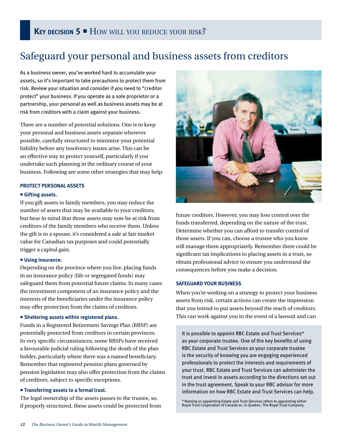# Safeguard your personal and business assets from creditors

As a business owner, you've worked hard to accumulate your assets, so it's important to take precautions to protect them from risk. Review your situation and consider if you need to "creditor protect" your business. If you operate as a sole proprietor or a partnership, your personal as well as business assets may be at risk from creditors with a claim against your business.

There are a number of potential solutions. One is to keep your personal and business assets separate wherever possible, carefully structured to minimize your potential liability before any insolvency issues arise. This can be an effective way to protect yourself, particularly if you undertake such planning in the ordinary course of your business. Following are some other strategies that may help.

#### **Protect personal assets**

#### **Gifting assets.**

If you gift assets to family members, you may reduce the number of assets that may be available to your creditors, but bear in mind that those assets may now be at risk from creditors of the family members who receive them. Unless the gift is to a spouse, it's considered a sale at fair market value for Canadian tax purposes and could potentially trigger a capital gain.

#### **Using insurance.**

Depending on the province where you live, placing funds in an insurance policy (life or segregated funds) may safeguard them from potential future claims. In many cases the investment component of an insurance policy and the interests of the beneficiaries under the insurance policy may offer protection from the claims of creditors.

#### **Sheltering assets within registered plans.**

Funds in a Registered Retirement Savings Plan (RRSP) are potentially protected from creditors in certain provinces. In very specific circumstances, some RRSPs have received a favourable judicial ruling following the death of the plan holder, particularly where there was a named beneficiary. Remember that registered pension plans governed by pension legislation may also offer protection from the claims of creditors, subject to specific exceptions.

#### **Transferring assets to a formal trust.**

The legal ownership of the assets passes to the trustee, so, if properly structured, these assets could be protected from



future creditors. However, you may lose control over the funds transferred, depending on the nature of the trust. Determine whether you can afford to transfer control of those assets. If you can, choose a trustee who you know will manage them appropriately. Remember there could be significant tax implications to placing assets in a trust, so obtain professional advice to ensure you understand the consequences before you make a decision.

#### **Safeguard your business**

When you're working on a strategy to protect your business assets from risk, certain actions can create the impression that you intend to put assets beyond the reach of creditors. This can work against you in the event of a lawsuit and can

It is possible to appoint RBC Estate and Trust Services\* as your corporate trustee. One of the key benefits of using RBC Estate and Trust Services as your corporate trustee is the security of knowing you are engaging experienced professionals to protect the interests and requirements of your trust. RBC Estate and Trust Services can administer the trust and invest in assets according to the directions set out in the trust agreement. Speak to your RBC advisor for more information on how RBC Estate and Trust Services can help.

\* Naming or appointing Estate and Trust Services refers to appointing either Royal Trust Corporation of Canada or, in Quebec, The Royal Trust Company.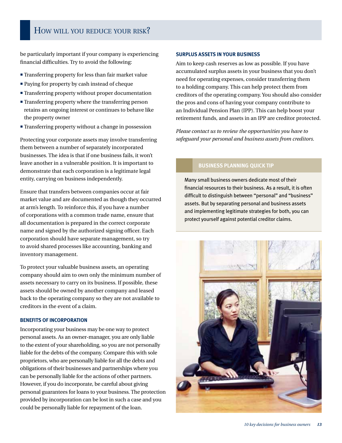be particularly important if your company is experiencing financial difficulties. Try to avoid the following:

- Transferring property for less than fair market value
- Paying for property by cash instead of cheque
- **Transferring property without proper documentation**
- **Transferring property where the transferring person** retains an ongoing interest or continues to behave like the property owner
- Transferring property without a change in possession

Protecting your corporate assets may involve transferring them between a number of separately incorporated businesses. The idea is that if one business fails, it won't leave another in a vulnerable position. It is important to demonstrate that each corporation is a legitimate legal entity, carrying on business independently.

Ensure that transfers between companies occur at fair market value and are documented as though they occurred at arm's length. To reinforce this, if you have a number of corporations with a common trade name, ensure that all documentation is prepared in the correct corporate name and signed by the authorized signing officer. Each corporation should have separate management, so try to avoid shared processes like accounting, banking and inventory management.

To protect your valuable business assets, an operating company should aim to own only the minimum number of assets necessary to carry on its business. If possible, these assets should be owned by another company and leased back to the operating company so they are not available to creditors in the event of a claim.

#### **Benefits of incorporation**

Incorporating your business may be one way to protect personal assets. As an owner-manager, you are only liable to the extent of your shareholding, so you are not personally liable for the debts of the company. Compare this with sole proprietors, who are personally liable for all the debts and obligations of their businesses and partnerships where you can be personally liable for the actions of other partners. However, if you do incorporate, be careful about giving personal guarantees for loans to your business. The protection provided by incorporation can be lost in such a case and you could be personally liable for repayment of the loan.

#### **Surplus assets in your business**

Aim to keep cash reserves as low as possible. If you have accumulated surplus assets in your business that you don't need for operating expenses, consider transferring them to a holding company. This can help protect them from creditors of the operating company. You should also consider the pros and cons of having your company contribute to an Individual Pension Plan (IPP). This can help boost your retirement funds, and assets in an IPP are creditor protected.

*Please contact us to review the opportunities you have to safeguard your personal and business assets from creditors.*

#### **Business planning quick tip**

Many small business owners dedicate most of their financial resources to their business. As a result, it is often difficult to distinguish between "personal" and "business" assets. But by separating personal and business assets and implementing legitimate strategies for both, you can protect yourself against potential creditor claims.

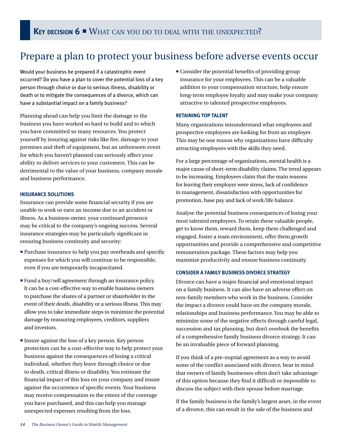# Prepare a plan to protect your business before adverse events occur

Would your business be prepared if a catastrophic event occurred? Do you have a plan to cover the potential loss of a key person through choice or due to serious illness, disability or death or to mitigate the consequences of a divorce, which can have a substantial impact on a family business?

Planning ahead can help you limit the damage to the business you have worked so hard to build and to which you have committed so many resources. You protect yourself by insuring against risks like fire, damage to your premises and theft of equipment, but an unforeseen event for which you haven't planned can seriously affect your ability to deliver services to your customers. This can be detrimental to the value of your business, company morale and business performance.

#### **Insurance solutions**

Insurance can provide some financial security if you are unable to work or earn an income due to an accident or illness. As a business owner, your continued presence may be critical to the company's ongoing success. Several insurance strategies may be particularly significant in ensuring business continuity and security:

- Purchase insurance to help you pay overheads and specific expenses for which you will continue to be responsible, even if you are temporarily incapacitated.
- Fund a buy/sell agreement through an insurance policy. It can be a cost-effective way to enable business owners to purchase the shares of a partner or shareholder in the event of their death, disability or a serious illness. This may allow you to take immediate steps to minimize the potential damage by reassuring employees, creditors, suppliers and investors.
- **Insure against the loss of a key person. Key person** protection can be a cost-effective way to help protect your business against the consequences of losing a critical individual, whether they leave through choice or due to death, critical illness or disability. You estimate the financial impact of this loss on your company and insure against the occurrence of specific events. Your business may receive compensation to the extent of the coverage you have purchased, and this can help you manage unexpected expenses resulting from the loss.

 Consider the potential benefits of providing group insurance for your employees. This can be a valuable addition to your compensation structure, help ensure long-term employee loyalty and may make your company attractive to talented prospective employees.

#### **Retaining top talent**

Many organizations misunderstand what employees and prospective employees are looking for from an employer. This may be one reason why organizations have difficulty attracting employees with the skills they need.

For a large percentage of organizations, mental health is a major cause of short-term disability claims. The trend appears to be increasing. Employees claim that the main reasons for leaving their employer were stress, lack of confidence in management, dissatisfaction with opportunities for promotion, base pay and lack of work/life balance.

Analyse the potential business consequences of losing your most talented employees. To retain these valuable people, get to know them, reward them, keep them challenged and engaged, foster a team environment, offer them growth opportunities and provide a comprehensive and competitive remuneration package. These factors may help you maximize productivity and ensure business continuity.

#### **Consider a family business divorce strategy**

Divorce can have a major financial and emotional impact on a family business. It can also have an adverse effect on non-family members who work in the business. Consider the impact a divorce could have on the company morale, relationships and business performance. You may be able to minimize some of the negative effects through careful legal, succession and tax planning, but don't overlook the benefits of a comprehensive family business divorce strategy. It can be an invaluable piece of forward planning.

If you think of a pre-nuptial agreement as a way to avoid some of the conflict associated with divorce, bear in mind that owners of family businesses often don't take advantage of this option because they find it difficult or impossible to discuss the subject with their spouse before marriage.

If the family business is the family's largest asset, in the event of a divorce, this can result in the sale of the business and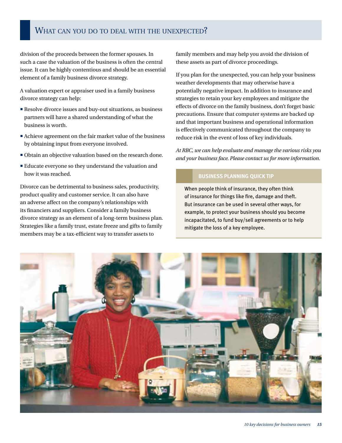### WHAT CAN YOU DO TO DEAL WITH THE UNEXPECTED?

division of the proceeds between the former spouses. In such a case the valuation of the business is often the central issue. It can be highly contentious and should be an essential element of a family business divorce strategy.

A valuation expert or appraiser used in a family business divorce strategy can help:

- Resolve divorce issues and buy-out situations, as business partners will have a shared understanding of what the business is worth.
- Achieve agreement on the fair market value of the business by obtaining input from everyone involved.
- Obtain an objective valuation based on the research done.
- Educate everyone so they understand the valuation and how it was reached.

Divorce can be detrimental to business sales, productivity, product quality and customer service. It can also have an adverse affect on the company's relationships with its financiers and suppliers. Consider a family business divorce strategy as an element of a long-term business plan. Strategies like a family trust, estate freeze and gifts to family members may be a tax-efficient way to transfer assets to

family members and may help you avoid the division of these assets as part of divorce proceedings.

If you plan for the unexpected, you can help your business weather developments that may otherwise have a potentially negative impact. In addition to insurance and strategies to retain your key employees and mitigate the effects of divorce on the family business, don't forget basic precautions. Ensure that computer systems are backed up and that important business and operational information is effectively communicated throughout the company to reduce risk in the event of loss of key individuals.

*At RBC, we can help evaluate and manage the various risks you and your business face. Please contact us for more information.*

#### **Business planning quick tip**

When people think of insurance, they often think of insurance for things like fire, damage and theft. But insurance can be used in several other ways, for example, to protect your business should you become incapacitated, to fund buy/sell agreements or to help mitigate the loss of a key employee.

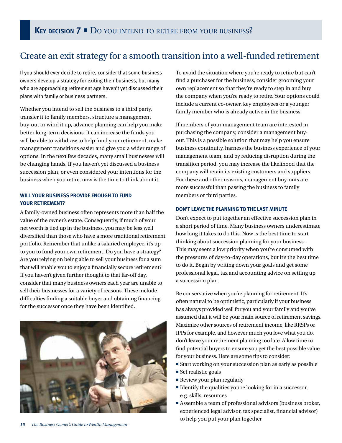# Create an exit strategy for a smooth transition into a well-funded retirement

If you should ever decide to retire, consider that some business owners develop a strategy for exiting their business, but many who are approaching retirement age haven't yet discussed their plans with family or business partners.

Whether you intend to sell the business to a third party, transfer it to family members, structure a management buy-out or wind it up, advance planning can help you make better long-term decisions. It can increase the funds you will be able to withdraw to help fund your retirement, make management transitions easier and give you a wider range of options. In the next few decades, many small businesses will be changing hands. If you haven't yet discussed a business succession plan, or even considered your intentions for the business when you retire, now is the time to think about it.

#### **Will your business provide enough to fund your retirement?**

A family-owned business often represents more than half the value of the owner's estate. Consequently, if much of your net worth is tied up in the business, you may be less well diversified than those who have a more traditional retirement portfolio. Remember that unlike a salaried employee, it's up to you to fund your own retirement. Do you have a strategy? Are you relying on being able to sell your business for a sum that will enable you to enjoy a financially secure retirement? If you haven't given further thought to that far-off day, consider that many business owners each year are unable to sell their businesses for a variety of reasons. These include difficulties finding a suitable buyer and obtaining financing for the successor once they have been identified.



*16 The Business Owner's Guide to Wealth Management*

To avoid the situation where you're ready to retire but can't find a purchaser for the business, consider grooming your own replacement so that they're ready to step in and buy the company when you're ready to retire. Your options could include a current co-owner, key employees or a younger family member who is already active in the business.

If members of your management team are interested in purchasing the company, consider a management buyout. This is a possible solution that may help you ensure business continuity, harness the business experience of your management team, and by reducing disruption during the transition period, you may increase the likelihood that the company will retain its existing customers and suppliers. For these and other reasons, management buy-outs are more successful than passing the business to family members or third parties.

#### **Don't leave the planning to the last minute**

Don't expect to put together an effective succession plan in a short period of time. Many business owners underestimate how long it takes to do this. Now is the best time to start thinking about succession planning for your business. This may seem a low priority when you're consumed with the pressures of day-to-day operations, but it's the best time to do it. Begin by writing down your goals and get some professional legal, tax and accounting advice on setting up a succession plan.

Be conservative when you're planning for retirement. It's often natural to be optimistic, particularly if your business has always provided well for you and your family and you've assumed that it will be your main source of retirement savings. Maximize other sources of retirement income, like RRSPs or IPPs for example, and however much you love what you do, don't leave your retirement planning too late. Allow time to find potential buyers to ensure you get the best possible value for your business. Here are some tips to consider:

- Start working on your succession plan as early as possible
- Set realistic goals
- Review your plan regularly
- $\blacksquare$  Identify the qualities you're looking for in a successor, e.g. skills, resources
- Assemble a team of professional advisors (business broker, experienced legal advisor, tax specialist, financial advisor) to help you put your plan together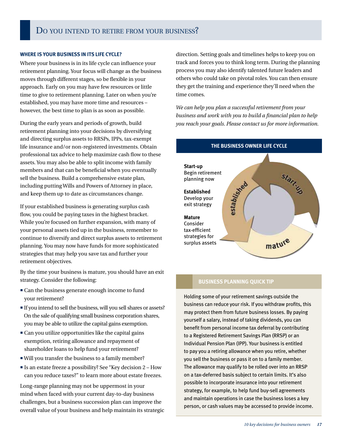#### **Where is your business in ITS life cycle?**

Where your business is in its life cycle can influence your retirement planning. Your focus will change as the business moves through different stages, so be flexible in your approach. Early on you may have few resources or little time to give to retirement planning. Later on when you're established, you may have more time and resources – however, the best time to plan is as soon as possible.

During the early years and periods of growth, build retirement planning into your decisions by diversifying and directing surplus assets to RRSPs, IPPs, tax-exempt life insurance and/or non-registered investments. Obtain professional tax advice to help maximize cash flow to these assets. You may also be able to split income with family members and that can be beneficial when you eventually sell the business. Build a comprehensive estate plan, including putting Wills and Powers of Attorney in place, and keep them up to date as circumstances change.

If your established business is generating surplus cash flow, you could be paying taxes in the highest bracket. While you're focused on further expansion, with many of your personal assets tied up in the business, remember to continue to diversify and direct surplus assets to retirement planning. You may now have funds for more sophisticated strategies that may help you save tax and further your retirement objectives.

By the time your business is mature, you should have an exit strategy. Consider the following:

- $\blacksquare$  Can the business generate enough income to fund your retirement?
- If you intend to sell the business, will you sell shares or assets? On the sale of qualifying small business corporation shares, you may be able to utilize the capital gains exemption.
- **Can you utilize opportunities like the capital gains** exemption, retiring allowance and repayment of shareholder loans to help fund your retirement?
- Will you transfer the business to a family member?
- Is an estate freeze a possibility? See "Key decision  $2 -$  How can you reduce taxes?" to learn more about estate freezes.

Long-range planning may not be uppermost in your mind when faced with your current day-to-day business challenges, but a business succession plan can improve the overall value of your business and help maintain its strategic direction. Setting goals and timelines helps to keep you on track and forces you to think long term. During the planning process you may also identify talented future leaders and others who could take on pivotal roles. You can then ensure they get the training and experience they'll need when the time comes.

*We can help you plan a successful retirement from your business and work with you to build a financial plan to help you reach your goals. Please contact us for more information.* 



#### **Business planning quick tip**

Holding some of your retirement savings outside the business can reduce your risk. If you withdraw profits, this may protect them from future business losses. By paying yourself a salary, instead of taking dividends, you can benefit from personal income tax deferral by contributing to a Registered Retirement Savings Plan (RRSP) or an Individual Pension Plan (IPP). Your business is entitled to pay you a retiring allowance when you retire, whether you sell the business or pass it on to a family member. The allowance may qualify to be rolled over into an RRSP on a tax-deferred basis subject to certain limits. It's also possible to incorporate insurance into your retirement strategy, for example, to help fund buy-sell agreements and maintain operations in case the business loses a key person, or cash values may be accessed to provide income.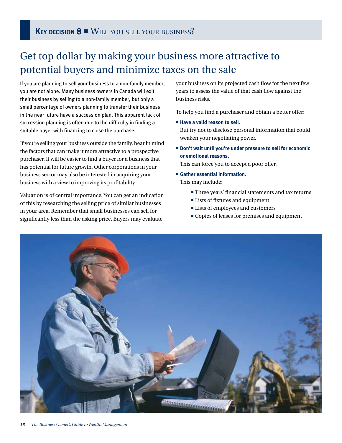# Get top dollar by making your business more attractive to potential buyers and minimize taxes on the sale

If you are planning to sell your business to a non-family member, you are not alone. Many business owners in Canada will exit their business by selling to a non-family member, but only a small percentage of owners planning to transfer their business in the near future have a succession plan. This apparent lack of succession planning is often due to the difficulty in finding a suitable buyer with financing to close the purchase.

If you're selling your business outside the family, bear in mind the factors that can make it more attractive to a prospective purchaser. It will be easier to find a buyer for a business that has potential for future growth. Other corporations in your business sector may also be interested in acquiring your business with a view to improving its profitability.

Valuation is of central importance. You can get an indication of this by researching the selling price of similar businesses in your area. Remember that small businesses can sell for significantly less than the asking price. Buyers may evaluate

your business on its projected cash flow for the next few years to assess the value of that cash flow against the business risks.

To help you find a purchaser and obtain a better offer:

**Have a valid reason to sell.**

But try not to disclose personal information that could weaken your negotiating power.

 **Don't wait until you're under pressure to sell for economic or emotional reasons.**

This can force you to accept a poor offer.

- **Gather essential information.** This may include:
	- Three years' financial statements and tax returns
	- Lists of fixtures and equipment
	- **Lists of employees and customers**
	- Copies of leases for premises and equipment

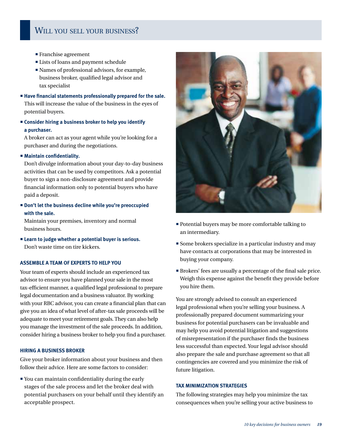### WILL YOU SELL YOUR BUSINESS?

- Franchise agreement
- **Lists of loans and payment schedule**
- Names of professional advisors, for example, business broker, qualified legal advisor and tax specialist
- **Have financial statements professionally prepared for the sale.** This will increase the value of the business in the eyes of potential buyers.
- **Consider hiring a business broker to help you identify a purchaser.**

A broker can act as your agent while you're looking for a purchaser and during the negotiations.

**Maintain confidentiality.**

Don't divulge information about your day-to-day business activities that can be used by competitors. Ask a potential buyer to sign a non-disclosure agreement and provide financial information only to potential buyers who have paid a deposit.

 **Don't let the business decline while you're preoccupied with the sale.**

Maintain your premises, inventory and normal business hours.

 **Learn to judge whether a potential buyer is serious.** Don't waste time on tire kickers.

#### **Assemble a team of experts to help you**

Your team of experts should include an experienced tax advisor to ensure you have planned your sale in the most tax-efficient manner, a qualified legal professional to prepare legal documentation and a business valuator. By working with your RBC advisor, you can create a financial plan that can give you an idea of what level of after-tax sale proceeds will be adequate to meet your retirement goals. They can also help you manage the investment of the sale proceeds. In addition, consider hiring a business broker to help you find a purchaser.

#### **Hiring a business broker**

Give your broker information about your business and then follow their advice. Here are some factors to consider:

 You can maintain confidentiality during the early stages of the sale process and let the broker deal with potential purchasers on your behalf until they identify an acceptable prospect.



- Potential buyers may be more comfortable talking to an intermediary.
- Some brokers specialize in a particular industry and may have contacts at corporations that may be interested in buying your company.
- Brokers' fees are usually a percentage of the final sale price. Weigh this expense against the benefit they provide before you hire them.

You are strongly advised to consult an experienced legal professional when you're selling your business. A professionally prepared document summarizing your business for potential purchasers can be invaluable and may help you avoid potential litigation and suggestions of misrepresentation if the purchaser finds the business less successful than expected. Your legal advisor should also prepare the sale and purchase agreement so that all contingencies are covered and you minimize the risk of future litigation.

#### **Tax minimization strategies**

The following strategies may help you minimize the tax consequences when you're selling your active business to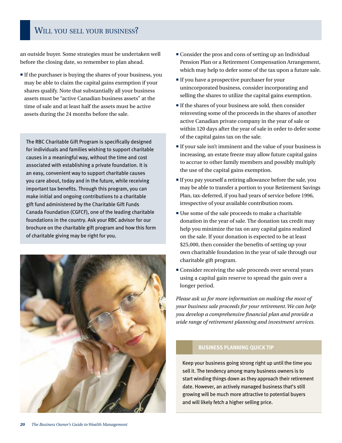### WILL YOU SELL YOUR BUSINESS?

an outside buyer. Some strategies must be undertaken well before the closing date, so remember to plan ahead.

If the purchaser is buying the shares of your business, you may be able to claim the capital gains exemption if your shares qualify. Note that substantially all your business assets must be "active Canadian business assets" at the time of sale and at least half the assets must be active assets during the 24 months before the sale.

The RBC Charitable Gift Program is specifically designed for individuals and families wishing to support charitable causes in a meaningful way, without the time and cost associated with establishing a private foundation. It is an easy, convenient way to support charitable causes you care about, today and in the future, while receiving important tax benefits. Through this program, you can make initial and ongoing contributions to a charitable gift fund administered by the Charitable Gift Funds Canada Foundation (CGFCF), one of the leading charitable foundations in the country. Ask your RBC advisor for our brochure on the charitable gift program and how this form of charitable giving may be right for you.



- Consider the pros and cons of setting up an Individual Pension Plan or a Retirement Compensation Arrangement, which may help to defer some of the tax upon a future sale.
- If you have a prospective purchaser for your unincorporated business, consider incorporating and selling the shares to utilize the capital gains exemption.
- If the shares of your business are sold, then consider reinvesting some of the proceeds in the shares of another active Canadian private company in the year of sale or within 120 days after the year of sale in order to defer some of the capital gains tax on the sale.
- If your sale isn't imminent and the value of your business is increasing, an estate freeze may allow future capital gains to accrue to other family members and possibly multiply the use of the capital gains exemption.
- If you pay yourself a retiring allowance before the sale, you may be able to transfer a portion to your Retirement Savings Plan, tax-deferred, if you had years of service before 1996, irrespective of your available contribution room.
- Use some of the sale proceeds to make a charitable donation in the year of sale. The donation tax credit may help you minimize the tax on any capital gains realized on the sale. If your donation is expected to be at least \$25,000, then consider the benefits of setting up your own charitable foundation in the year of sale through our charitable gift program.
- Consider receiving the sale proceeds over several years using a capital gain reserve to spread the gain over a longer period.

*Please ask us for more information on making the most of your business sale proceeds for your retirement. We can help you develop a comprehensive financial plan and provide a wide range of retirement planning and investment services.*

#### **Business planning quick tip**

Keep your business going strong right up until the time you sell it. The tendency among many business owners is to start winding things down as they approach their retirement date. However, an actively managed business that's still growing will be much more attractive to potential buyers and will likely fetch a higher selling price.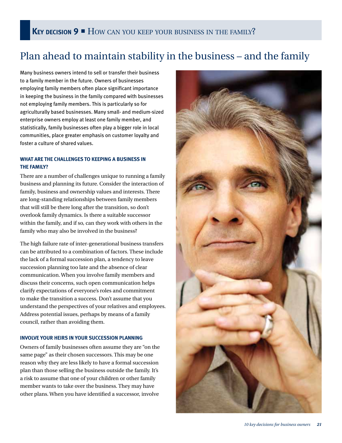# Plan ahead to maintain stability in the business – and the family

Many business owners intend to sell or transfer their business to a family member in the future. Owners of businesses employing family members often place significant importance in keeping the business in the family compared with businesses not employing family members. This is particularly so for agriculturally based businesses. Many small- and medium-sized enterprise owners employ at least one family member, and statistically, family businesses often play a bigger role in local communities, place greater emphasis on customer loyalty and foster a culture of shared values.

#### **What are the challenges to keeping a business in the family?**

There are a number of challenges unique to running a family business and planning its future. Consider the interaction of family, business and ownership values and interests. There are long-standing relationships between family members that will still be there long after the transition, so don't overlook family dynamics. Is there a suitable successor within the family, and if so, can they work with others in the family who may also be involved in the business?

The high failure rate of inter-generational business transfers can be attributed to a combination of factors. These include the lack of a formal succession plan, a tendency to leave succession planning too late and the absence of clear communication. When you involve family members and discuss their concerns, such open communication helps clarify expectations of everyone's roles and commitment to make the transition a success. Don't assume that you understand the perspectives of your relatives and employees. Address potential issues, perhaps by means of a family council, rather than avoiding them.

#### **Involve your heirs in your succession planning**

Owners of family businesses often assume they are "on the same page" as their chosen successors. This may be one reason why they are less likely to have a formal succession plan than those selling the business outside the family. It's a risk to assume that one of your children or other family member wants to take over the business. They may have other plans. When you have identified a successor, involve

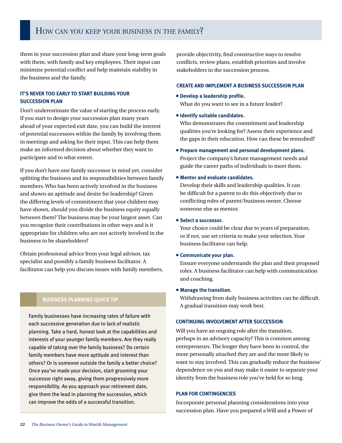### How can you keep your business in the family?

them in your succession plan and share your long-term goals with them, with family and key employees. Their input can minimize potential conflict and help maintain stability in the business and the family.

#### **IT'S NEVER TOO EARLY TO START BUILDING YOUR succession plan**

Don't underestimate the value of starting the process early. If you start to design your succession plan many years ahead of your expected exit date, you can build the interest of potential successors within the family by involving them in meetings and asking for their input. This can help them make an informed decision about whether they want to participate and to what extent.

If you don't have one family successor in mind yet, consider splitting the business and its responsibilities between family members. Who has been actively involved in the business and shown an aptitude and desire for leadership? Given the differing levels of commitment that your children may have shown, should you divide the business equity equally between them? The business may be your largest asset. Can you recognize their contributions in other ways and is it appropriate for children who are not actively involved in the business to be shareholders?

Obtain professional advice from your legal advisor, tax specialist and possibly a family business facilitator. A facilitator can help you discuss issues with family members,

#### **Business planning quick tip**

Family businesses have increasing rates of failure with each successive generation due to lack of realistic planning. Take a hard, honest look at the capabilities and interests of your younger family members. Are they really capable of taking over the family business? Do certain family members have more aptitude and interest than others? Or is someone outside the family a better choice? Once you've made your decision, start grooming your successor right away, giving them progressively more responsibility. As you approach your retirement date, give them the lead in planning the succession, which can improve the odds of a successful transition.

provide objectivity, find constructive ways to resolve conflicts, review plans, establish priorities and involve stakeholders in the succession process.

#### **Create and implement a business succession plan**

**Develop a leadership profile.**

What do you want to see in a future leader?

 **Identify suitable candidates.**

Who demonstrates the commitment and leadership qualities you're looking for? Assess their experience and the gaps in their education. How can these be remedied?

 **Prepare management and personal development plans.** Project the company's future management needs and

guide the career paths of individuals to meet them.

#### **Mentor and evaluate candidates.**

Develop their skills and leadership qualities. It can be difficult for a parent to do this objectively due to conflicting roles of parent/business owner. Choose someone else as mentor.

**Select a successor.** 

Your choice could be clear due to years of preparation, or if not, use set criteria to make your selection. Your business facilitator can help.

#### **Communicate your plan.**

Ensure everyone understands the plan and their proposed roles. A business facilitator can help with communication and coaching.

#### **Manage the transition.**

Withdrawing from daily business activities can be difficult. A gradual transition may work best.

#### **Continuing involvement after succession**

Will you have an ongoing role after the transition, perhaps in an advisory capacity? This is common among entrepreneurs. The longer they have been in control, the more personally attached they are and the more likely to want to stay involved. This can gradually reduce the business' dependence on you and may make it easier to separate your identity from the business role you've held for so long.

#### **Plan for contingencies**

Incorporate personal planning considerations into your succession plan. Have you prepared a Will and a Power of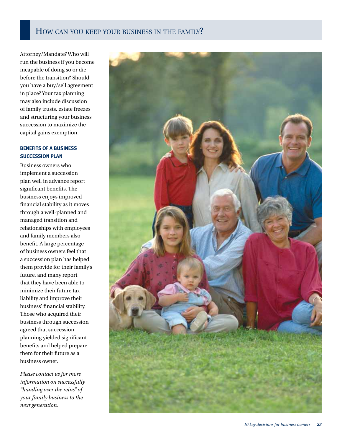### How can you keep your business in the family?

Attorney/Mandate? Who will run the business if you become incapable of doing so or die before the transition? Should you have a buy/sell agreement in place? Your tax planning may also include discussion of family trusts, estate freezes and structuring your business succession to maximize the capital gains exemption.

#### **Benefits of a business succession plan**

Business owners who implement a succession plan well in advance report significant benefits. The business enjoys improved financial stability as it moves through a well-planned and managed transition and relationships with employees and family members also benefit. A large percentage of business owners feel that a succession plan has helped them provide for their family's future, and many report that they have been able to minimize their future tax liability and improve their business' financial stability. Those who acquired their business through succession agreed that succession planning yielded significant benefits and helped prepare them for their future as a business owner.

*Please contact us for more information on successfully "handing over the reins" of your family business to the next generation.*

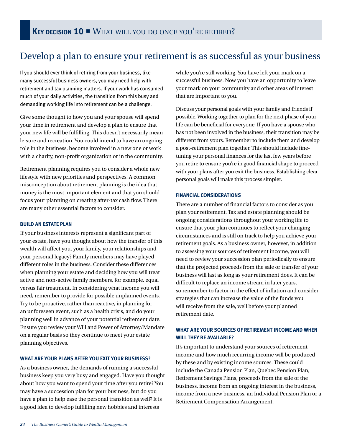# Develop a plan to ensure your retirement is as successful as your business

If you should ever think of retiring from your business, like many successful business owners, you may need help with retirement and tax planning matters. If your work has consumed much of your daily activities, the transition from this busy and demanding working life into retirement can be a challenge.

Give some thought to how you and your spouse will spend your time in retirement and develop a plan to ensure that your new life will be fulfilling. This doesn't necessarily mean leisure and recreation. You could intend to have an ongoing role in the business, become involved in a new one or work with a charity, non-profit organization or in the community.

Retirement planning requires you to consider a whole new lifestyle with new priorities and perspectives. A common misconception about retirement planning is the idea that money is the most important element and that you should focus your planning on creating after-tax cash flow. There are many other essential factors to consider.

#### **Build an estate plan**

If your business interests represent a significant part of your estate, have you thought about how the transfer of this wealth will affect you, your family, your relationships and your personal legacy? Family members may have played different roles in the business. Consider these differences when planning your estate and deciding how you will treat active and non-active family members, for example, equal versus fair treatment. In considering what income you will need, remember to provide for possible unplanned events. Try to be proactive, rather than reactive, in planning for an unforeseen event, such as a health crisis, and do your planning well in advance of your potential retirement date. Ensure you review your Will and Power of Attorney/Mandate on a regular basis so they continue to meet your estate planning objectives.

#### **What are your plans after you exit your business?**

As a business owner, the demands of running a successful business keep you very busy and engaged. Have you thought about how you want to spend your time after you retire? You may have a succession plan for your business, but do you have a plan to help ease the personal transition as well? It is a good idea to develop fulfilling new hobbies and interests

while you're still working. You have left your mark on a successful business. Now you have an opportunity to leave your mark on your community and other areas of interest that are important to you.

Discuss your personal goals with your family and friends if possible. Working together to plan for the next phase of your life can be beneficial for everyone. If you have a spouse who has not been involved in the business, their transition may be different from yours. Remember to include them and develop a post-retirement plan together. This should include finetuning your personal finances for the last few years before you retire to ensure you're in good financial shape to proceed with your plans after you exit the business. Establishing clear personal goals will make this process simpler.

#### **Financial considerations**

There are a number of financial factors to consider as you plan your retirement. Tax and estate planning should be ongoing considerations throughout your working life to ensure that your plan continues to reflect your changing circumstances and is still on track to help you achieve your retirement goals. As a business owner, however, in addition to assessing your sources of retirement income, you will need to review your succession plan periodically to ensure that the projected proceeds from the sale or transfer of your business will last as long as your retirement does. It can be difficult to replace an income stream in later years, so remember to factor in the effect of inflation and consider strategies that can increase the value of the funds you will receive from the sale, well before your planned retirement date.

#### **What are your sources of retirement income and when will they be available?**

It's important to understand your sources of retirement income and how much recurring income will be produced by these and by existing income sources. These could include the Canada Pension Plan, Quebec Pension Plan, Retirement Savings Plans, proceeds from the sale of the business, income from an ongoing interest in the business, income from a new business, an Individual Pension Plan or a Retirement Compensation Arrangement.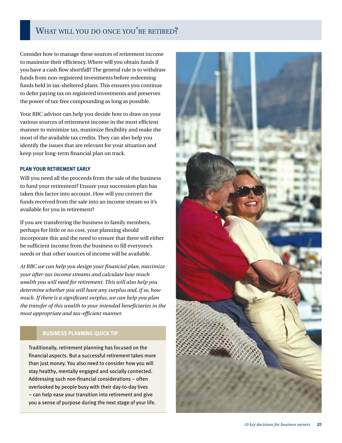# WHAT WILL YOU DO ONCE YOU'RE RETIRED?

Consider how to manage these sources of retirement income to maximize their efficiency. Where will you obtain funds if you have a cash flow shortfall? The general rule is to withdraw funds from non-registered investments before redeeming funds held in tax-sheltered plans. This ensures you continue to defer paying tax on registered investments and preserves the power of tax-free compounding as long as possible.

Your RBC advisor can help you decide how to draw on your various sources of retirement income in the most efficient manner to minimize tax, maximize flexibility and make the most of the available tax credits. They can also help you identify the issues that are relevant for your situation and keep your long-term financial plan on track.

#### **Plan your retirement early**

Will you need all the proceeds from the sale of the business to fund your retirement? Ensure your succession plan has taken this factor into account. How will you convert the funds received from the sale into an income stream so it's available for you in retirement?

If you are transferring the business to family members, perhaps for little or no cost, your planning should incorporate this and the need to ensure that there will either be sufficient income from the business to fill everyone's needs or that other sources of income will be available.

*At RBC we can help you design your financial plan, maximize your after-tax income streams and calculate how much wealth you will need for retirement. This will also help you determine whether you will have any surplus and, if so, how much. If there is a significant surplus, we can help you plan the transfer of this wealth to your intended beneficiaries in the most appropriate and tax-efficient manner.*

#### **Business planning quick tip**

Traditionally, retirement planning has focused on the financial aspects. But a successful retirement takes more than just money. You also need to consider how you will stay healthy, mentally engaged and socially connected. Addressing such non-financial considerations – often overlooked by people busy with their day-to-day lives – can help ease your transition into retirement and give you a sense of purpose during the next stage of your life.

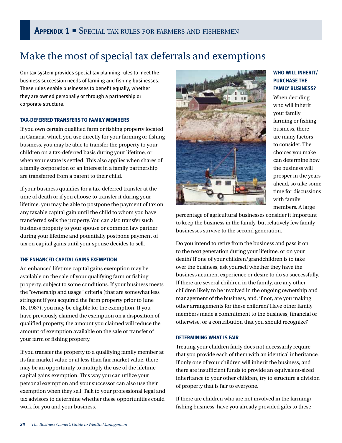# Make the most of special tax deferrals and exemptions

Our tax system provides special tax planning rules to meet the business succession needs of farming and fishing businesses. These rules enable businesses to benefit equally, whether they are owned personally or through a partnership or corporate structure.

#### **Tax-deferred transfers to family members**

If you own certain qualified farm or fishing property located in Canada, which you use directly for your farming or fishing business, you may be able to transfer the property to your children on a tax-deferred basis during your lifetime, or when your estate is settled. This also applies when shares of a family corporation or an interest in a family partnership are transferred from a parent to their child.

If your business qualifies for a tax-deferred transfer at the time of death or if you choose to transfer it during your lifetime, you may be able to postpone the payment of tax on any taxable capital gain until the child to whom you have transferred sells the property. You can also transfer such business property to your spouse or common law partner during your lifetime and potentially postpone payment of tax on capital gains until your spouse decides to sell.

#### **The enhanced capital gains exemption**

An enhanced lifetime capital gains exemption may be available on the sale of your qualifying farm or fishing property, subject to some conditions. If your business meets the "ownership and usage" criteria (that are somewhat less stringent if you acquired the farm property prior to June 18, 1987), you may be eligible for the exemption. If you have previously claimed the exemption on a disposition of qualified property, the amount you claimed will reduce the amount of exemption available on the sale or transfer of your farm or fishing property.

If you transfer the property to a qualifying family member at its fair market value or at less than fair market value, there may be an opportunity to multiply the use of the lifetime capital gains exemption. This way you can utilize your personal exemption and your successor can also use their exemption when they sell. Talk to your professional legal and tax advisors to determine whether these opportunities could work for you and your business.



#### **Who will inherit/ purchase the family business?**

When deciding who will inherit your family farming or fishing business, there are many factors to consider. The choices you make can determine how the business will prosper in the years ahead, so take some time for discussions with family members. A large

percentage of agricultural businesses consider it important to keep the business in the family, but relatively few family businesses survive to the second generation.

Do you intend to retire from the business and pass it on to the next generation during your lifetime, or on your death? If one of your children/grandchildren is to take over the business, ask yourself whether they have the business acumen, experience or desire to do so successfully. If there are several children in the family, are any other children likely to be involved in the ongoing ownership and management of the business, and, if not, are you making other arrangements for these children? Have other family members made a commitment to the business, financial or otherwise, or a contribution that you should recognize?

#### **Determining what is fair**

Treating your children fairly does not necessarily require that you provide each of them with an identical inheritance. If only one of your children will inherit the business, and there are insufficient funds to provide an equivalent-sized inheritance to your other children, try to structure a division of property that is fair to everyone.

If there are children who are not involved in the farming/ fishing business, have you already provided gifts to these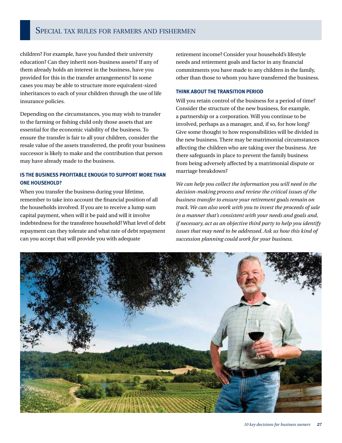children? For example, have you funded their university education? Can they inherit non-business assets? If any of them already holds an interest in the business, have you provided for this in the transfer arrangements? In some cases you may be able to structure more equivalent-sized inheritances to each of your children through the use of life insurance policies.

Depending on the circumstances, you may wish to transfer to the farming or fishing child only those assets that are essential for the economic viability of the business. To ensure the transfer is fair to all your children, consider the resale value of the assets transferred, the profit your business successor is likely to make and the contribution that person may have already made to the business.

#### **Is the business profitable enough to support more than one household?**

When you transfer the business during your lifetime, remember to take into account the financial position of all the households involved. If you are to receive a lump sum capital payment, when will it be paid and will it involve indebtedness for the transferee household? What level of debt repayment can they tolerate and what rate of debt repayment can you accept that will provide you with adequate

retirement income? Consider your household's lifestyle needs and retirement goals and factor in any financial commitments you have made to any children in the family, other than those to whom you have transferred the business.

#### **Think about the transition period**

Will you retain control of the business for a period of time? Consider the structure of the new business, for example, a partnership or a corporation. Will you continue to be involved, perhaps as a manager, and, if so, for how long? Give some thought to how responsibilities will be divided in the new business. There may be matrimonial circumstances affecting the children who are taking over the business. Are there safeguards in place to prevent the family business from being adversely affected by a matrimonial dispute or marriage breakdown?

*We can help you collect the information you will need in the decision-making process and review the critical issues of the business transfer to ensure your retirement goals remain on track. We can also work with you to invest the proceeds of sale in a manner that's consistent with your needs and goals and, if necessary, act as an objective third party to help you identify issues that may need to be addressed. Ask us how this kind of succession planning could work for your business.*

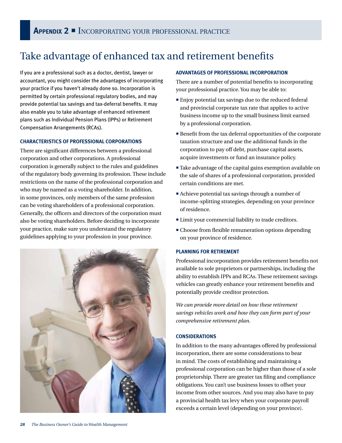# Take advantage of enhanced tax and retirement benefits

If you are a professional such as a doctor, dentist, lawyer or accountant, you might consider the advantages of incorporating your practice if you haven't already done so. Incorporation is permitted by certain professional regulatory bodies, and may provide potential tax savings and tax-deferral benefits. It may also enable you to take advantage of enhanced retirement plans such as Individual Pension Plans (IPPs) or Retirement Compensation Arrangements (RCAs).

#### **Characteristics of professional corporations**

There are significant differences between a professional corporation and other corporations. A professional corporation is generally subject to the rules and guidelines of the regulatory body governing its profession. These include restrictions on the name of the professional corporation and who may be named as a voting shareholder. In addition, in some provinces, only members of the same profession can be voting shareholders of a professional corporation. Generally, the officers and directors of the corporation must also be voting shareholders. Before deciding to incorporate your practice, make sure you understand the regulatory guidelines applying to your profession in your province.



#### **Advantages of professional incorporation**

There are a number of potential benefits to incorporating your professional practice. You may be able to:

- Enjoy potential tax savings due to the reduced federal and provincial corporate tax rate that applies to active business income up to the small business limit earned by a professional corporation.
- Benefit from the tax deferral opportunities of the corporate taxation structure and use the additional funds in the corporation to pay off debt, purchase capital assets, acquire investments or fund an insurance policy.
- Take advantage of the capital gains exemption available on the sale of shares of a professional corporation, provided certain conditions are met.
- Achieve potential tax savings through a number of income-splitting strategies, depending on your province of residence.
- Limit your commercial liability to trade creditors.
- Choose from flexible remuneration options depending on your province of residence.

#### **Planning for retirement**

Professional incorporation provides retirement benefits not available to sole proprietors or partnerships, including the ability to establish IPPs and RCAs. These retirement savings vehicles can greatly enhance your retirement benefits and potentially provide creditor protection.

*We can provide more detail on how these retirement savings vehicles work and how they can form part of your comprehensive retirement plan.*

#### **Considerations**

In addition to the many advantages offered by professional incorporation, there are some considerations to bear in mind. The costs of establishing and maintaining a professional corporation can be higher than those of a sole proprietorship. There are greater tax filing and compliance obligations. You can't use business losses to offset your income from other sources. And you may also have to pay a provincial health tax levy when your corporate payroll exceeds a certain level (depending on your province).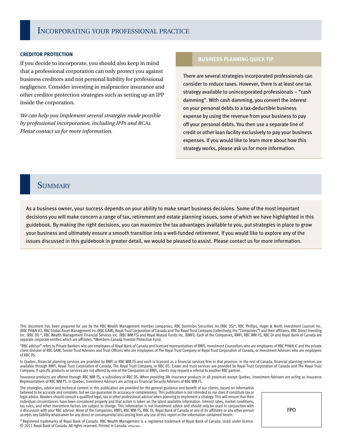#### **Creditor protection**

If you decide to incorporate, you should also keep in mind that a professional corporation can only protect you against business creditors and not personal liability for professional negligence. Consider investing in malpractice insurance and other creditor protection strategies such as setting up an IPP inside the corporation.

*We can help you implement several strategies made possible by professional incorporation, including IPPs and RCAs. Please contact us for more information.*

#### **Business planning quick tip**

There are several strategies incorporated professionals can consider to reduce taxes. However, there is at least one tax strategy available to unincorporated professionals – "cash damming". With cash damming, you convert the interest on your personal debts to a tax-deductible business expense by using the revenue from your business to pay off your personal debts. You then use a separate line of credit or other loan facility exclusively to pay your business expenses. If you would like to learn more about how this strategy works, please ask us for more information.

### **SUMMARY**

As a business owner, your success depends on your ability to make smart business decisions. Some of the most important decisions you will make concern a range of tax, retirement and estate planning issues, some of which we have highlighted in this guidebook. By making the right decisions, you can maximize the tax advantages available to you, put strategies in place to grow your business and ultimately ensure a smooth transition into a well-funded retirement. If you would like to explore any of the issues discussed in this guidebook in greater detail, we would be pleased to assist. Please contact us for more information.

This document has been prepared for use by the RBC Wealth Management member companies, RBC Dominion Securities Inc.(RBC DS)\*, RBC Phillips, Hager & North Investment Counsel Inc. (RBC PH&N IC), RBC Global Asset Management Inc.(RBC GAM), Royal Trust Corporation of Canada and The Royal Trust Company (collectively, the "Companies") and their affiliates, RBC Direct Investing Inc. (RBC DI) \*, RBC Wealth Management Financial Services Inc. (RBC WM FS) and Royal Mutual Funds Inc. (RMFI). Each of the Companies, RMFI, RBC WM FS, RBC DI and Royal Bank of Canada are separate corporate entities which are affiliates. \*Members-Canada Investor Protection Fund.

"RBC advisor" refers to Private Bankers who are employees of Royal Bank of Canada and licensed representatives of RMFI, Investment Counsellors who are employees of RBC PH&N IC and the private client division of RBC GAM, Senior Trust Advisors and Trust Officers who are employees of The Royal Trust Company or Royal Trust Corporation of Canada, or Investment Advisors who are employees of RBC DS.

In Quebec, financial planning services are provided by RMFI or RBC WM FS and each is licensed as a financial services firm in that province. In the rest of Canada, financial planning services are available through RMFI, Royal Trust Corporation of Canada, The Royal Trust Company, or RBC DS. Estate and trust services are provided by Royal Trust Corporation of Canada and The Royal Trust Company. If specific products or services are not offered by one of the Companies or RMFI, clients may request a referral to another RBC partner.

Insurance products are offered through RBC WM FS, a subsidiary of RBC DS. When providing life insurance products in all provinces except Quebec, Investment Advisors are acting as Insurance Representatives of RBC WM FS. In Quebec, Investment Advisors are acting as Financial Security Advisors of RBC WM FS.

The strategies, advice and technical content in this publication are provided for the general guidance and benefit of our clients, based on information believed to be accurate and complete, but we can guarantee its accuracy or completeness. This publication is not intended as nor does it constitute tax or legal advice. Readers should consult a qualified legal, tax or other professional advisor when planning to implement a strategy. This will ensure that their individual circumstances have been considered properly and that action is taken on the latest available information. Interest rates, market conditions, tax rules, and other investment factors are subject to change. This information is not investment advice and should only be used in conjunction with a discussion with your RBC advisor. None of the Companies, RMFI, RBC WM FS, RBC DI, Royal Bank of Canada or any of its affiliates or any other person accepts any liability whatsoever for any direct or consequential loss arising from any use of this report or the information contained herein.

® Registered trademarks of Royal Bank of Canada. RBC Wealth Management is a registered trademark of Royal Bank of Canada. Used under licence. © 2011 Royal Bank of Canada. All rights reserved. Printed in Canada. VPS63841

FPO